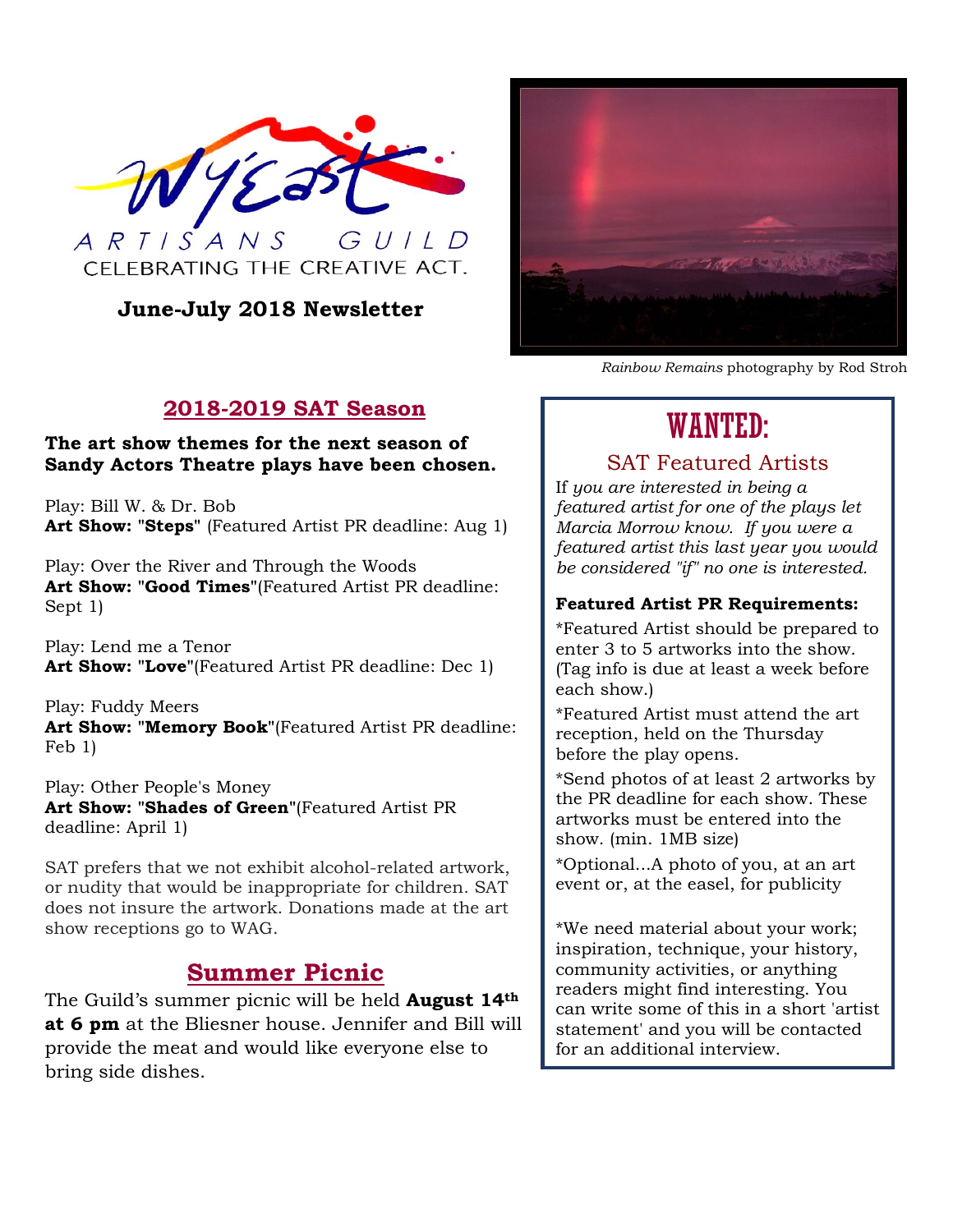

## **June-July 2018 Newsletter**



*Rainbow Remains* photography by Rod Stroh

## **2018-2019 SAT Season**

#### **The art show themes for the next season of Sandy Actors Theatre plays have been chosen.**

Play: Bill W. & Dr. Bob **Art Show: "Steps"** (Featured Artist PR deadline: Aug 1)

Play: Over the River and Through the Woods **Art Show: "Good Times"**(Featured Artist PR deadline: Sept 1)

Play: Lend me a Tenor **Art Show: "Love"**(Featured Artist PR deadline: Dec 1)

Play: Fuddy Meers **Art Show: "Memory Book"**(Featured Artist PR deadline: Feb 1)

Play: Other People's Money **Art Show: "Shades of Green"**(Featured Artist PR deadline: April 1)

SAT prefers that we not exhibit alcohol-related artwork, or nudity that would be inappropriate for children. SAT does not insure the artwork. Donations made at the art show receptions go to WAG.

## **Summer Picnic**

The Guild's summer picnic will be held **August 14th at 6 pm** at the Bliesner house. Jennifer and Bill will provide the meat and would like everyone else to bring side dishes.

# WANTED:

## SAT Featured Artists

If *you are interested in being a featured artist for one of the plays let Marcia Morrow know. If you were a featured artist this last year you would be considered "if" no one is interested.*

### **Featured Artist PR Requirements:**

\*Featured Artist should be prepared to enter 3 to 5 artworks into the show. (Tag info is due at least a week before each show.)

\*Featured Artist must attend the art reception, held on the Thursday before the play opens.

\*Send photos of at least 2 artworks by the PR deadline for each show. These artworks must be entered into the show. (min. 1MB size)

\*Optional...A photo of you, at an art event or, at the easel, for publicity

\*We need material about your work; inspiration, technique, your history, community activities, or anything readers might find interesting. You can write some of this in a short 'artist statement' and you will be contacted for an additional interview.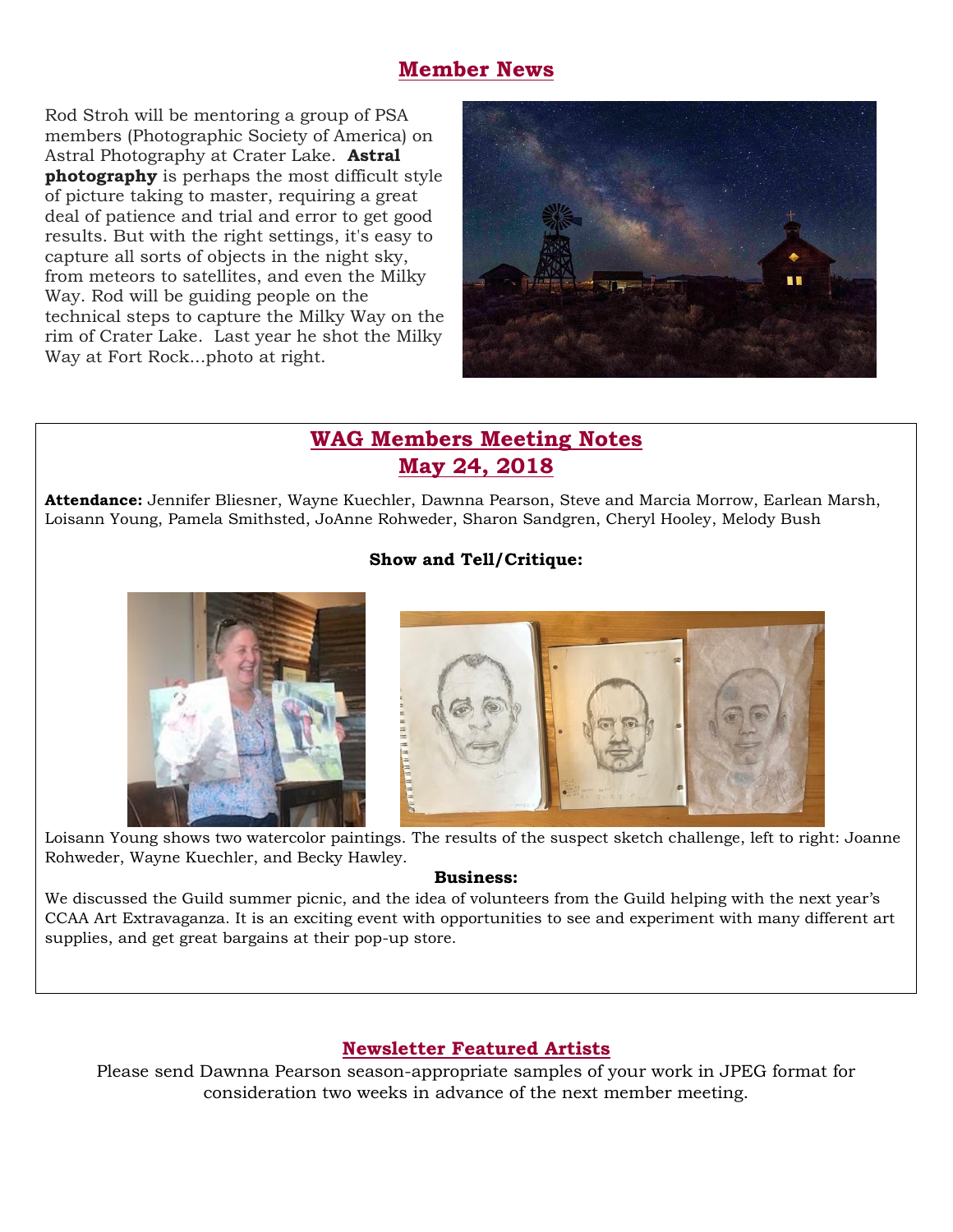## **Member News**

Rod Stroh will be mentoring a group of PSA members (Photographic Society of America) on Astral Photography at Crater Lake. **Astral photography** is perhaps the most difficult style of picture taking to master, requiring a great deal of patience and trial and error to get good results. But with the right settings, it's easy to capture all sorts of objects in the night sky, from meteors to satellites, and even the Milky Way. Rod will be guiding people on the technical steps to capture the Milky Way on the rim of Crater Lake. Last year he shot the Milky Way at Fort Rock...photo at right.



## **WAG Members Meeting Notes May 24, 2018**

**Attendance:** Jennifer Bliesner, Wayne Kuechler, Dawnna Pearson, Steve and Marcia Morrow, Earlean Marsh, Loisann Young, Pamela Smithsted, JoAnne Rohweder, Sharon Sandgren, Cheryl Hooley, Melody Bush

### **Show and Tell/Critique:**





Loisann Young shows two watercolor paintings. The results of the suspect sketch challenge, left to right: Joanne Rohweder, Wayne Kuechler, and Becky Hawley.

#### **Business:**

We discussed the Guild summer picnic, and the idea of volunteers from the Guild helping with the next year's CCAA Art Extravaganza. It is an exciting event with opportunities to see and experiment with many different art supplies, and get great bargains at their pop-up store.

## **Newsletter Featured Artists**

Please send Dawnna Pearson season-appropriate samples of your work in JPEG format for consideration two weeks in advance of the next member meeting.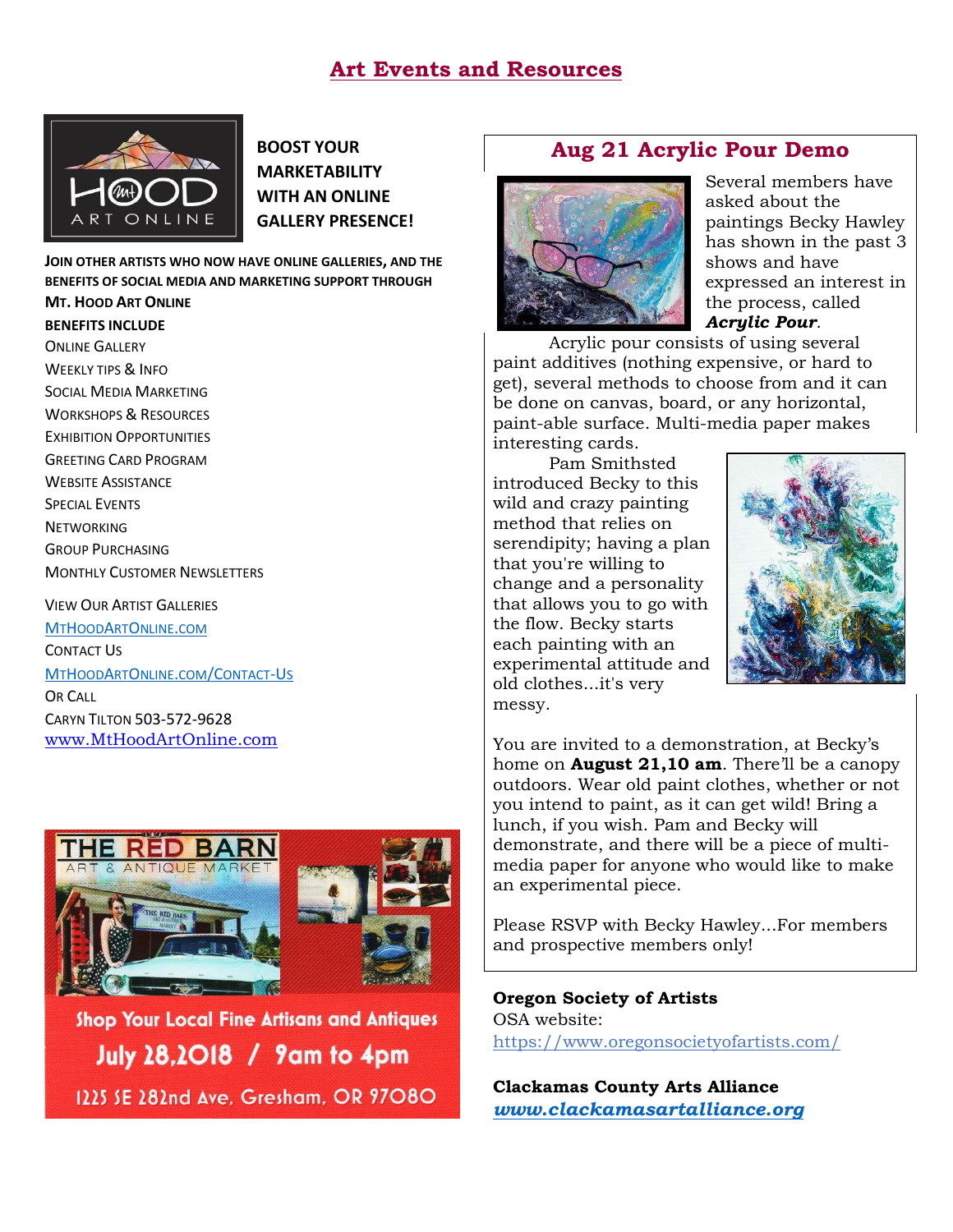## **Art Events and Resources**



**BOOST YOUR MARKETABILITY WITH AN ONLINE GALLERY PRESENCE!**

**JOIN OTHER ARTISTS WHO NOW HAVE ONLINE GALLERIES, AND THE BENEFITS OF SOCIAL MEDIA AND MARKETING SUPPORT THROUGH MT. HOOD ART ONLINE**

#### **BENEFITS INCLUDE**

ONLINE GALLERY WEEKLY TIPS & INFO SOCIAL MEDIA MARKETING WORKSHOPS & RESOURCES EXHIBITION OPPORTUNITIES GREETING CARD PROGRAM WEBSITE ASSISTANCE SPECIAL EVENTS **NETWORKING** GROUP PURCHASING MONTHLY CUSTOMER NEWSLETTERS

VIEW OUR ARTIST GALLERIES

[M](http://www.mthoodartonline.com/)[T](http://www.mthoodartonline.com/)[H](http://www.mthoodartonline.com/)[OOD](http://www.mthoodartonline.com/)[A](http://www.mthoodartonline.com/)[RT](http://www.mthoodartonline.com/)[O](http://www.mthoodartonline.com/)[NLINE](http://www.mthoodartonline.com/)[.](http://www.mthoodartonline.com/)[COM](http://www.mthoodartonline.com/) CONTACT US

[M](http://www.mthoodartonline/Contact-Us)[T](http://www.mthoodartonline/Contact-Us)[H](http://www.mthoodartonline/Contact-Us)[OOD](http://www.mthoodartonline/Contact-Us)[A](http://www.mthoodartonline/Contact-Us)[RT](http://www.mthoodartonline/Contact-Us)[O](http://www.mthoodartonline/Contact-Us)[NLINE](http://www.mthoodartonline/Contact-Us)[.](http://www.mthoodartonline/Contact-Us)[COM](http://www.mthoodartonline/Contact-Us)[/C](http://www.mthoodartonline/Contact-Us)[ONTACT](http://www.mthoodartonline/Contact-Us)[-U](http://www.mthoodartonline/Contact-Us)[S](http://www.mthoodartonline/Contact-Us)

**OR CALL** CARYN TILTON 503-572-9628 [www.MtHoodArtOnline.com](http://www.mthoodartonline.com/)



Shop Your Local Fine Artisans and Antiques **July 28,2018 / 9am to 4pm** 1225 SE 282nd Ave. Gresham. OR 97080

## **Aug 21 Acrylic Pour Demo**



Several members have asked about the paintings Becky Hawley has shown in the past 3 shows and have expressed an interest in the process, called *Acrylic Pour*.

Acrylic pour consists of using several paint additives (nothing expensive, or hard to get), several methods to choose from and it can be done on canvas, board, or any horizontal, paint-able surface. Multi-media paper makes interesting cards.

Pam Smithsted introduced Becky to this wild and crazy painting method that relies on serendipity; having a plan that you're willing to change and a personality that allows you to go with the flow. Becky starts each painting with an experimental attitude and old clothes...it's very messy.



You are invited to a demonstration, at Becky's home on **August 21,10 am**. There'll be a canopy outdoors. Wear old paint clothes, whether or not you intend to paint, as it can get wild! Bring a lunch, if you wish. Pam and Becky will demonstrate, and there will be a piece of multimedia paper for anyone who would like to make an experimental piece.

Please RSVP with Becky Hawley...For members and prospective members only!

**Oregon Society of Artists** OSA website: <https://www.oregonsocietyofartists.com/>

**Clackamas County Arts Alliance** *[www.clackamasartalliance.org](http://www.clackamasartalliance.org/)*